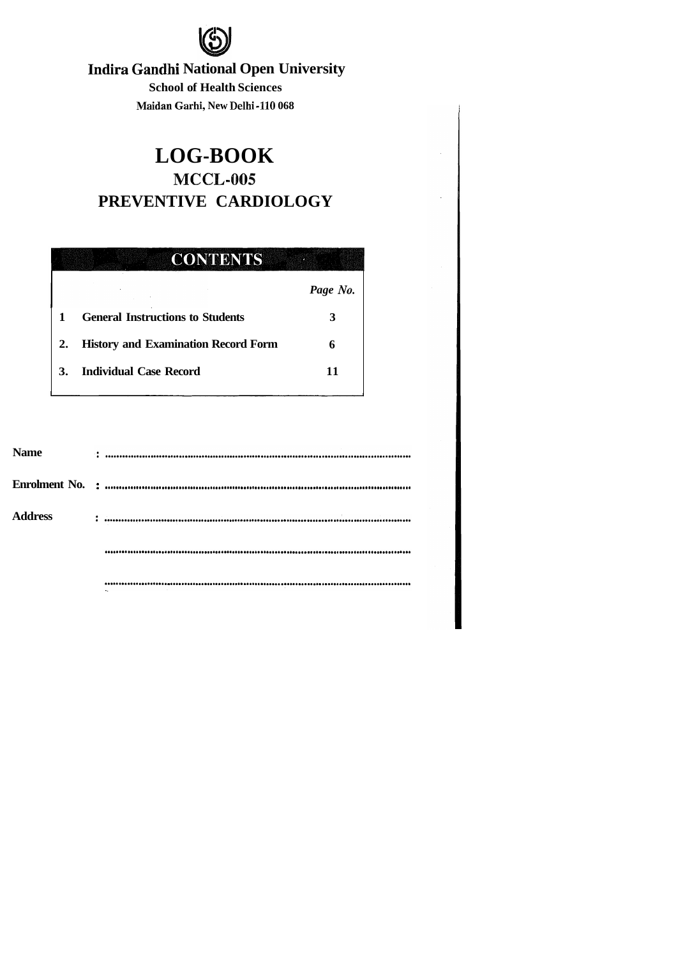

# **Indira Gandhi National Open University**

**School of Health Sciences Maidan Garhi, New Delhi-110 068** 

# **LOG-BOOK MCCL-005 PREVENTIVE CARDIOLOGY**

#### **CONTENTS** ants

|    |                                            | Page No. |
|----|--------------------------------------------|----------|
|    | <b>General Instructions to Students</b>    |          |
| 2. | <b>History and Examination Record Form</b> |          |
| 3. | Individual Case Record                     |          |

| <b>Name</b>    | $\frac{1}{2}$ . The contract of the contract of the contract of the contract of the contract of the contract of the contract of the contract of the contract of the contract of the contract of the contract of the contract of t |  |
|----------------|-----------------------------------------------------------------------------------------------------------------------------------------------------------------------------------------------------------------------------------|--|
|                |                                                                                                                                                                                                                                   |  |
| <b>Address</b> | $\vdots$ . The construction of the construction of the construction of the construction of the construction of the construction of $\ddot{\cdot}$                                                                                 |  |
|                |                                                                                                                                                                                                                                   |  |
|                |                                                                                                                                                                                                                                   |  |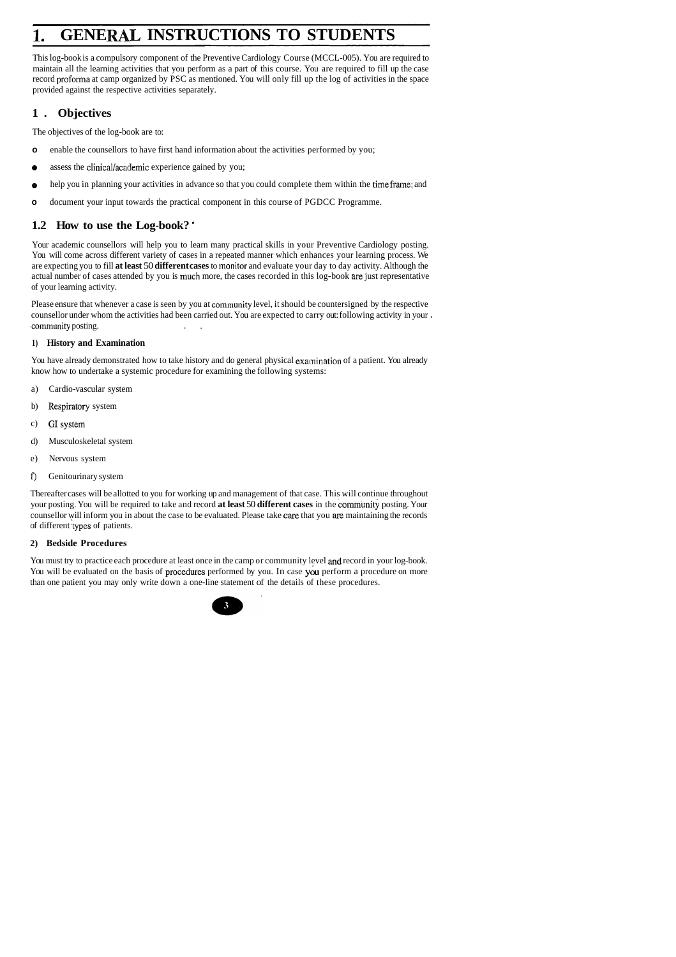# **1. GENERAL INSTRUCTIONS TO STUDENTS**

This log-book is a compulsory component of the Preventive Cardiology Course (MCCL-005). You are required to maintain all the learning activities that you perform as a part of this course. You are required to fill up the case record proforma at camp organized by PSC as mentioned. You will only fill up the log of activities in the space provided against the respective activities separately.

- **o** enable the counsellors to have first hand information about the activities performed by you;
- **o** assess the clinical/academic experience gained by you;
- **e** help you in planning your activities in advance so that you could complete them within the time frame; and
- **o** document your input towards the practical component in this course of PGDCC Programme.

## **1. Objectives**

The objectives of the log-book are to:

Please ensure that whenever a case is seen by you at community level, it should be countersigned by the respective counsellor under whom the activities had been carried out. You are expected to carry out: following activity in your . .community posting. . .

## **1.2 How to use the Log-book?** '

You have already demonstrated how to take history and do general physical examination of a patient. You already know how to undertake a systemic procedure for examining the following systems:

Your academic counsellors will help you to learn many practical skills in your Preventive Cardiology posting. You will come across different variety of cases in a repeated manner which enhances your learning process. We are expecting you to fill **at least** 50 **different cases** to inonitor and evaluate your day to day activity. Although the actual number of cases attended by you is much more, the cases recorded in this log-book are just representative of your learning activity.

#### **1) History and Examination**

- a) Cardio-vascular system
- b) Respiratory system
- c) GIsystem
- d) Musculoskeletal system
- e) Nervous system
- **f)** Genitourinary system

Thereafter cases will be allotted to you for working up and management of that case. This will continue throughout your posting. You will be required to take and record **at least 50 different cases** in the community posting. Your counsellor will inform you in about the case to be evaluated. Please take care that you are maintaining the records of different 'types of patients.

#### **2) Bedside Procedures**

You must try to practice each procedure at least once in the camp or community level and record in your log-book. You will be evaluated on the basis of procedures performed by you. In case you perform a procedure on more than one patient you may only write down a one-line statement of the details of these procedures.

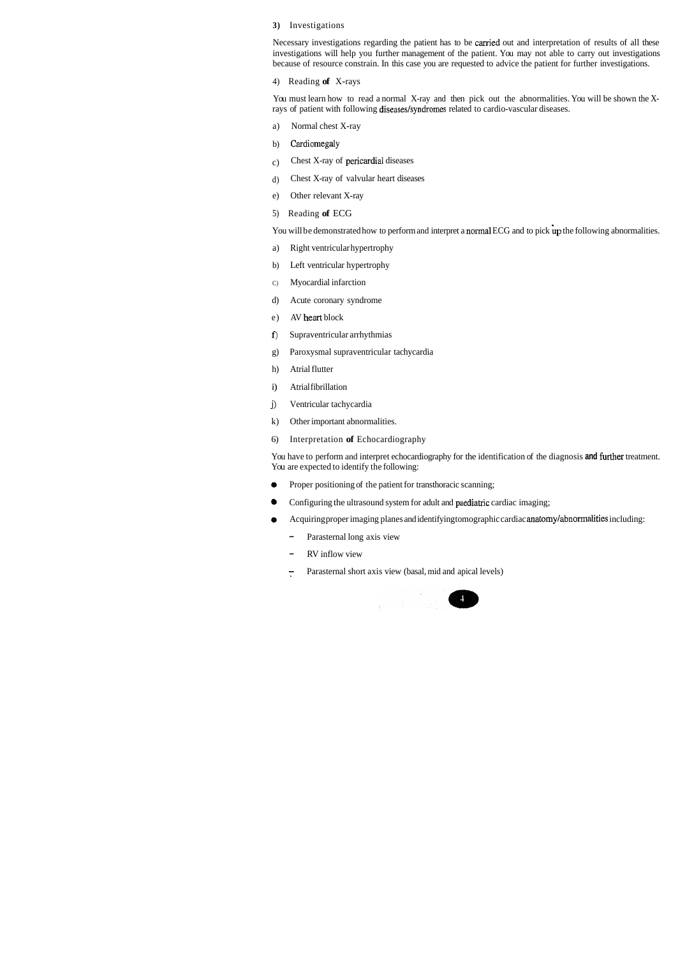#### **3)** Investigations

Necessary investigations regarding the patient has to be carried out and interpretation of results of all these investigations will help you further management of the patient. You may not able to carry out investigations because of resource constrain. In this case you are requested to advice the patient for further investigations.

You must learn how to read a normal X-ray and then pick out the abnormalities. You will be shown the Xrays of patient with following diseases/syndromes related to cardio-vascular diseases.

4) Reading **of** X-rays

- a) Normal chest X-ray
- b) Cardiomegaly
- c) Chest X-ray of pericardial diseases
- d) Chest X-ray of valvular heart diseases
- e) Other relevant X-ray
- 5) Reading **of** ECG

You will be demonstrated how to perform and interpret a normal ECG and to pick up the following abnormalities.

You have to perform and interpret echocardiography for the identification of the diagnosis and further treatment. You are expected to identify the following:

- **e** Proper positioning of the patient for transthoracic scanning;
- Configuring the ultrasound system for adult and paediatric cardiac imaging;
- **e** Acquiring proper imaging planes and identifying tomographic cardiac anatomylabnormalities including:
	- Parasternal long axis view
	- RV inflow view
	- Parasternal short axis view (basal, mid and apical levels)  $\overline{\cdot}$



- a) Right ventricular hypertrophy
- b) Left ventricular hypertrophy
- C) Myocardial infarction
- d) Acute coronary syndrome
- e) AV heart block
- **f)** Supraventricular arrhythmias
- g) Paroxysmal supraventricular tachycardia
- h) Atrial flutter
- i) Atrial fibrillation
- j) Ventricular tachycardia
- k) Other important abnormalities.
- 6) Interpretation **of** Echocardiography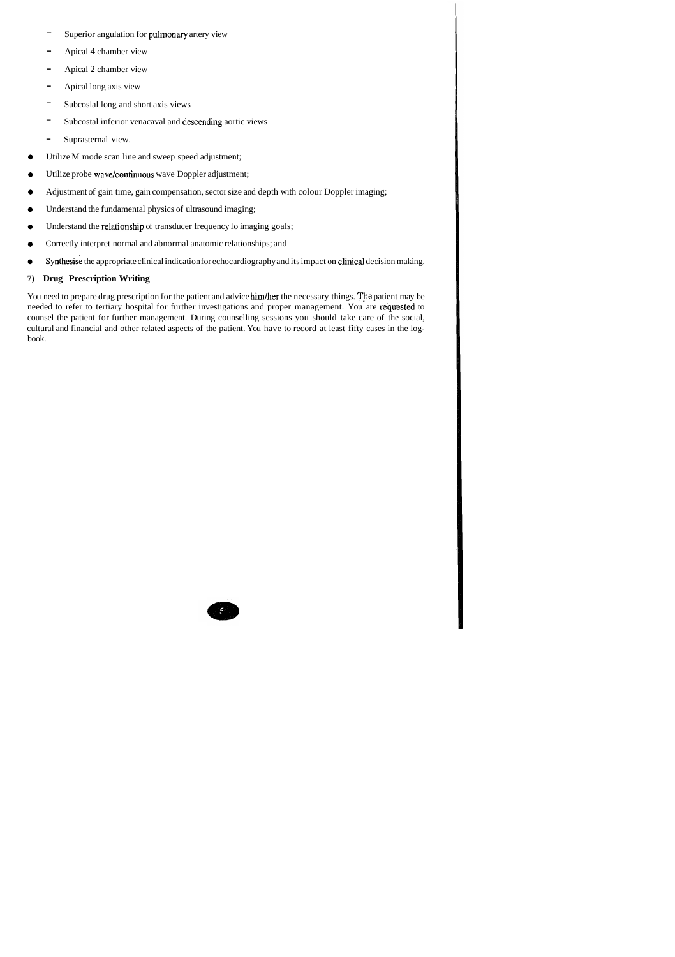You need to prepare drug prescription for the patient and advice him/her the necessary things. The patient may be needed to refer to tertiary hospital for further investigations and proper management. You are requested to counsel the patient for further management. During counselling sessions you should take care of the social, cultural and financial and other related aspects of the patient. You have to record at least fifty cases in the logbook.



- Superior angulation for pullnonary artery view
- Apical 4 chamber view
- Apical 2 chamber view
- Apical long axis view
- Subcoslal long and short axis views
- Subcostal inferior venacaval and descending aortic views
- Suprasternal view.
- $\bullet$ Utilize M mode scan line and sweep speed adjustment;
- Utilize probe wave/continuous wave Doppler adjustment;  $\bullet$
- Adjustment of gain time, gain compensation, sector size and depth with colour Doppler imaging;  $\bullet$
- Understand the fundamental physics of ultrasound imaging;  $\bullet$
- Understand the relationship of transducer frequency lo imaging goals;  $\bullet$
- Correctly interpret normal and abnormal anatomic relationships; and  $\bullet$
- Synthesise the appropriate clinical indication for echocardiography and its impact on clinical decision making.  $\bullet$

#### **7) Drug Prescription Writing**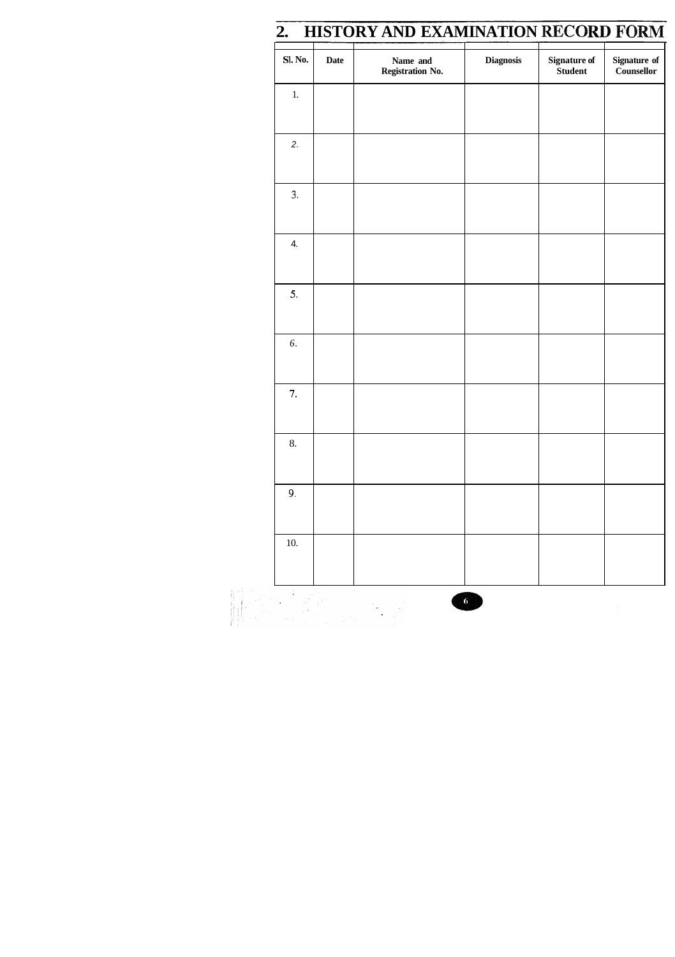|  | 2. HISTORY AND EXAMINATION RECORD FORM |  |
|--|----------------------------------------|--|
|  |                                        |  |

| <b>Sl. No.</b> | <b>Date</b> | Name and<br><b>Registration No.</b> | <b>Diagnosis</b> | Signature of<br>Student | <b>Signature of</b><br>Counsellor |
|----------------|-------------|-------------------------------------|------------------|-------------------------|-----------------------------------|
| $1. \,$        |             |                                     |                  |                         |                                   |
| 2.             |             |                                     |                  |                         |                                   |
| 3.             |             |                                     |                  |                         |                                   |
| 4.             |             |                                     |                  |                         |                                   |
| 5.             |             |                                     |                  |                         |                                   |
| 6.             |             |                                     |                  |                         |                                   |
| 7.             |             |                                     |                  |                         |                                   |
| 8.             |             |                                     |                  |                         |                                   |
| 9.             |             |                                     |                  |                         |                                   |
| $10. \,$       |             |                                     |                  |                         |                                   |
| $\sim 1$       |             |                                     | $\vert 6 \vert$  |                         |                                   |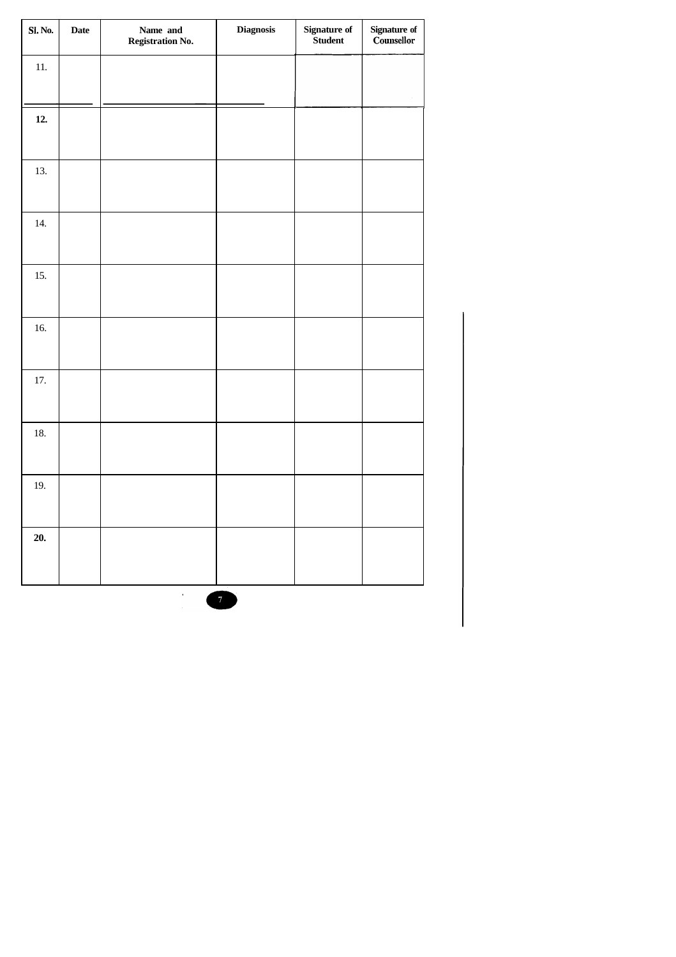| <b>Sl. No.</b> | <b>Date</b> | Name and<br><b>Registration No.</b> | <b>Diagnosis</b> | Signature of<br>Student | Signature of<br>Counsellor |
|----------------|-------------|-------------------------------------|------------------|-------------------------|----------------------------|
| 11.            |             |                                     |                  |                         |                            |
|                |             |                                     |                  |                         |                            |
| 12.            |             |                                     |                  |                         |                            |
| 13.            |             |                                     |                  |                         |                            |
| 14.            |             |                                     |                  |                         |                            |
| 15.            |             |                                     |                  |                         |                            |
| 16.            |             |                                     |                  |                         |                            |
| $17.$          |             |                                     |                  |                         |                            |
| $18. \,$       |             |                                     |                  |                         |                            |
| 19.            |             |                                     |                  |                         |                            |
| 20.            |             |                                     |                  |                         |                            |
|                |             | $\bullet$                           | 7 <sup>7</sup>   |                         |                            |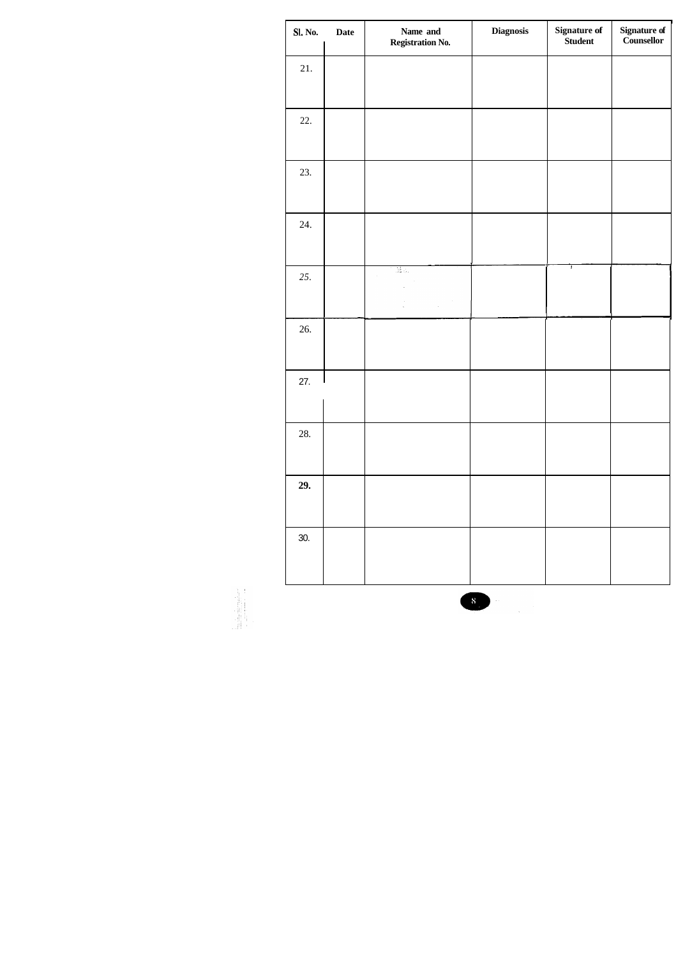| <b>Sl. No.</b> | Signature of<br>Student<br><b>Diagnosis</b><br>Name and<br><b>Date</b><br><b>Registration No.</b> |           |  |   | Signature of<br>Counsellor |
|----------------|---------------------------------------------------------------------------------------------------|-----------|--|---|----------------------------|
| 21.            |                                                                                                   |           |  |   |                            |
|                |                                                                                                   |           |  |   |                            |
| 22.            |                                                                                                   |           |  |   |                            |
| 23.            |                                                                                                   |           |  |   |                            |
| 24.            |                                                                                                   |           |  |   |                            |
| 25.            |                                                                                                   | $\bar{z}$ |  | T |                            |
| 26.            |                                                                                                   |           |  |   |                            |
| 27.            |                                                                                                   |           |  |   |                            |
| 28.            |                                                                                                   |           |  |   |                            |
| 29.            |                                                                                                   |           |  |   |                            |
| 30.            |                                                                                                   |           |  |   |                            |



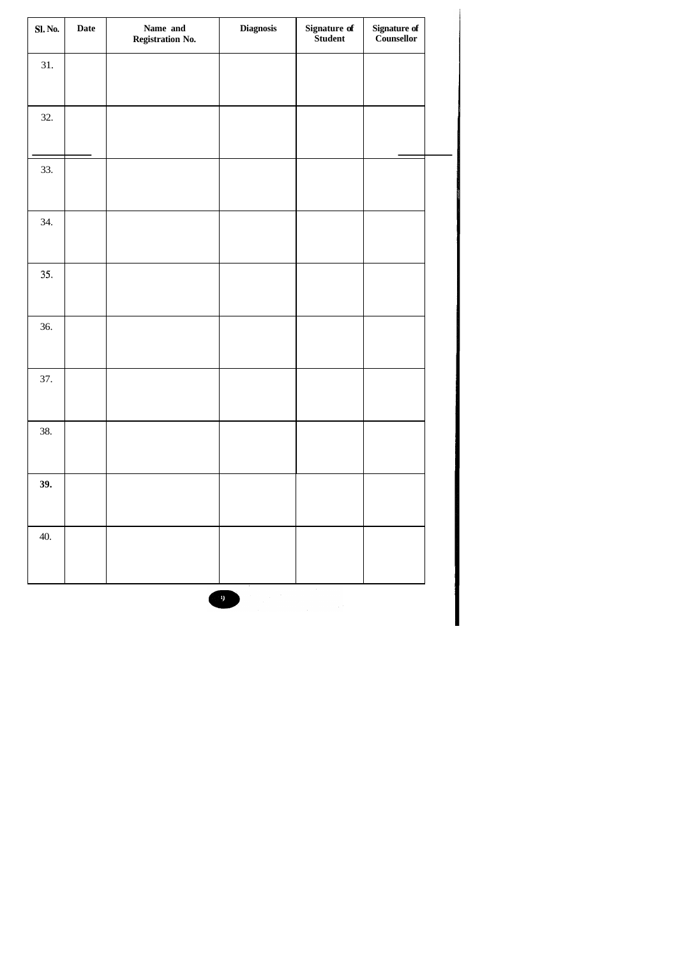| <b>Sl. No.</b> | <b>Date</b> | Name and<br>Registration No. | <b>Diagnosis</b> | Signature of<br>Student | Signature of<br>Counsellor |  |
|----------------|-------------|------------------------------|------------------|-------------------------|----------------------------|--|
| 31.            |             |                              |                  |                         |                            |  |
| 32.            |             |                              |                  |                         |                            |  |
| 33.            |             |                              |                  |                         |                            |  |
| 34.            |             |                              |                  |                         |                            |  |
| 35.            |             |                              |                  |                         |                            |  |
| 36.            |             |                              |                  |                         |                            |  |
| 37.            |             |                              |                  |                         |                            |  |
| 38.            |             |                              |                  |                         |                            |  |
| 39.            |             |                              |                  |                         |                            |  |
| 40.            |             |                              |                  |                         |                            |  |

 $\overline{9}$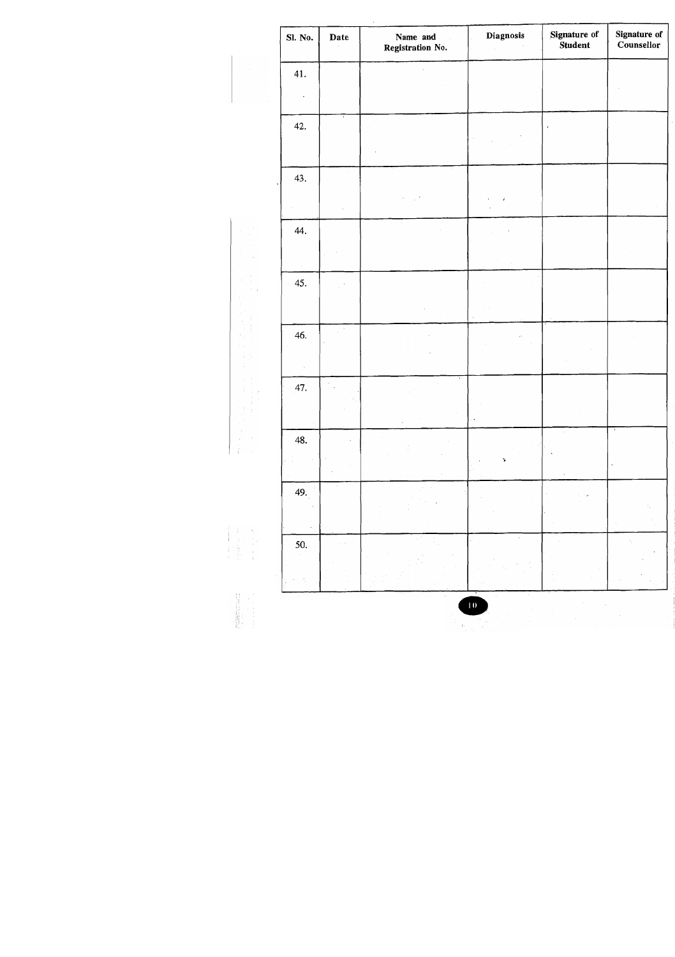| Sl. No. | Date | Signature of<br>Diagnosis<br>Name and<br>Student<br>Registration No.<br>$\alpha_{\rm{max}}$ |                      |  | <b>Signature of</b><br>Counsellor |
|---------|------|---------------------------------------------------------------------------------------------|----------------------|--|-----------------------------------|
| 41.     |      |                                                                                             |                      |  |                                   |
|         |      |                                                                                             |                      |  |                                   |
| 42.     |      |                                                                                             |                      |  |                                   |
|         |      |                                                                                             |                      |  |                                   |
| 43.     |      |                                                                                             |                      |  |                                   |
|         |      |                                                                                             | $\boldsymbol{i}$     |  |                                   |
| 44.     |      |                                                                                             |                      |  |                                   |
|         |      |                                                                                             |                      |  |                                   |
| 45.     |      |                                                                                             |                      |  |                                   |
|         |      |                                                                                             | $\ddot{\phantom{0}}$ |  |                                   |
| 46.     |      |                                                                                             | $\bar{\psi}$         |  |                                   |
|         |      |                                                                                             |                      |  |                                   |
| 47.     |      | $\bullet$                                                                                   |                      |  |                                   |
|         |      |                                                                                             |                      |  |                                   |
| 48.     |      |                                                                                             |                      |  |                                   |
|         |      |                                                                                             | ÷,                   |  |                                   |
| 49.     |      |                                                                                             |                      |  |                                   |
|         |      |                                                                                             |                      |  |                                   |
| 50.     |      |                                                                                             |                      |  |                                   |
|         |      |                                                                                             |                      |  |                                   |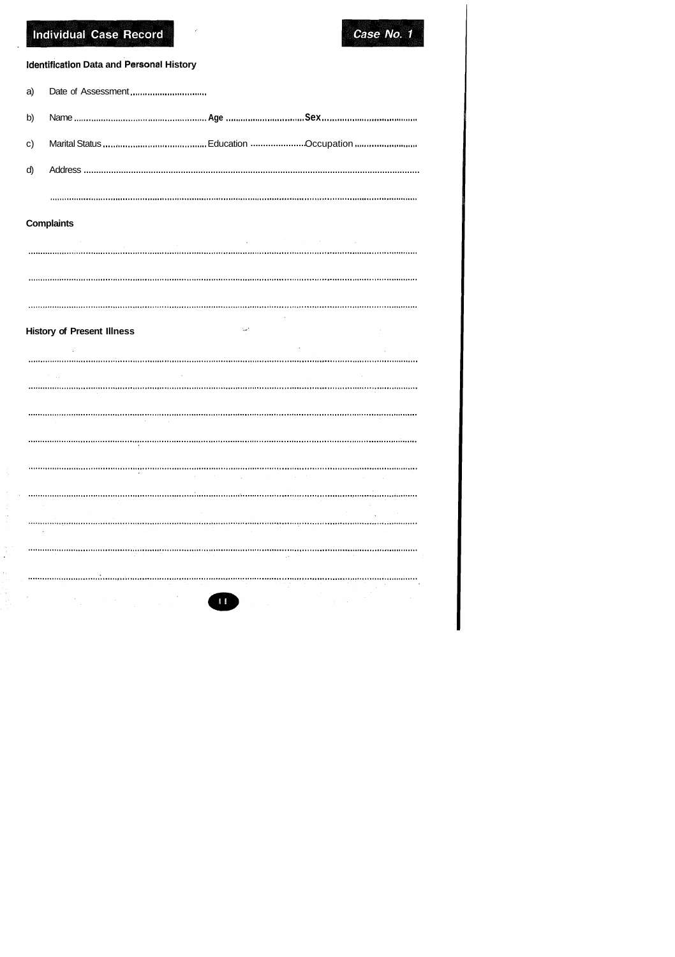# Individual Case Record



## **Identification Data and Personal History**

| a)           |  |  |
|--------------|--|--|
| b)           |  |  |
| $\mathbf{C}$ |  |  |
| d)           |  |  |
|              |  |  |

## **Complaints**

 $\begin{bmatrix} 1 \\ 1 \\ 1 \\ 1 \end{bmatrix}$ 

14 Ã,

| <b>Security</b> | the control of the control of the control<br>$\sim$ |  |
|-----------------|-----------------------------------------------------|--|
|                 |                                                     |  |
|                 |                                                     |  |
|                 |                                                     |  |

 $\sim$ 

## **History of Present Illness**

|                   | and the state of the |  |  |
|-------------------|----------------------|--|--|
| <b>CONTRACTOR</b> |                      |  |  |
|                   |                      |  |  |
|                   |                      |  |  |

|  |  | $\bullet$ |  |
|--|--|-----------|--|

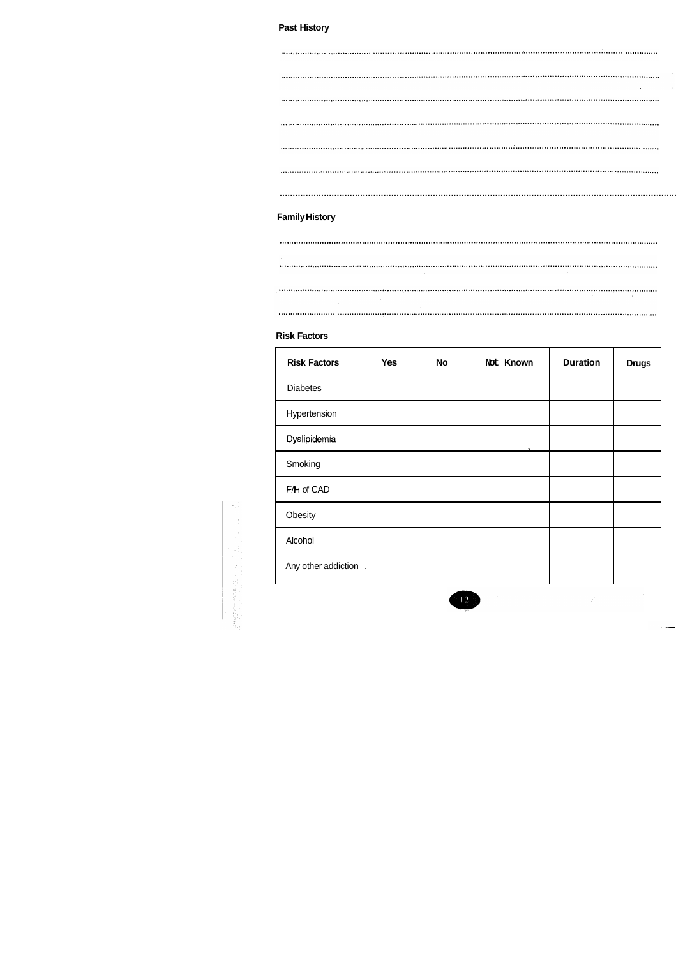## **Past History**

|                                                                                               | $\bullet$         |
|-----------------------------------------------------------------------------------------------|-------------------|
|                                                                                               |                   |
|                                                                                               |                   |
|                                                                                               |                   |
| maninamantumana amampehana maninamanga amampehana amampehana amampehana amampehana amampehana |                   |
|                                                                                               |                   |
| <b>Family History</b>                                                                         |                   |
|                                                                                               |                   |
|                                                                                               |                   |
|                                                                                               | <b>Contractor</b> |
| $\bullet$                                                                                     |                   |

#### **Risk Factors**

수기 

| <b>Risk Factors</b> | <b>Yes</b> | <b>No</b> | Not Known | <b>Duration</b> | <b>Drugs</b> |
|---------------------|------------|-----------|-----------|-----------------|--------------|
| <b>Diabetes</b>     |            |           |           |                 |              |
| Hypertension        |            |           |           |                 |              |
| Dyslipidemia        |            |           |           |                 |              |
| Smoking             |            |           |           |                 |              |
| F/H of CAD          |            |           |           |                 |              |
| Obesity             |            |           |           |                 |              |
| Alcohol             |            |           |           |                 |              |
| Any other addiction |            |           |           |                 |              |



 $\label{eq:2} \frac{d}{dt} \int_{-\infty}^{\infty} \frac{d\mu}{dt} \, d\mu = \frac{1}{2} \int_{-\infty}^{\infty} \frac{d\mu}{dt} \, d\mu = \frac{1}{2} \int_{-\infty}^{\infty} \frac{d\mu}{dt} \, d\mu = \frac{1}{2} \int_{-\infty}^{\infty} \frac{d\mu}{dt} \, d\mu = \frac{1}{2} \int_{-\infty}^{\infty} \frac{d\mu}{dt} \, d\mu = \frac{1}{2} \int_{-\infty}^{\infty} \frac{d\mu}{dt} \, d\mu = \frac{1}{2} \int$ 

 $\sim 10^7$ 

...........................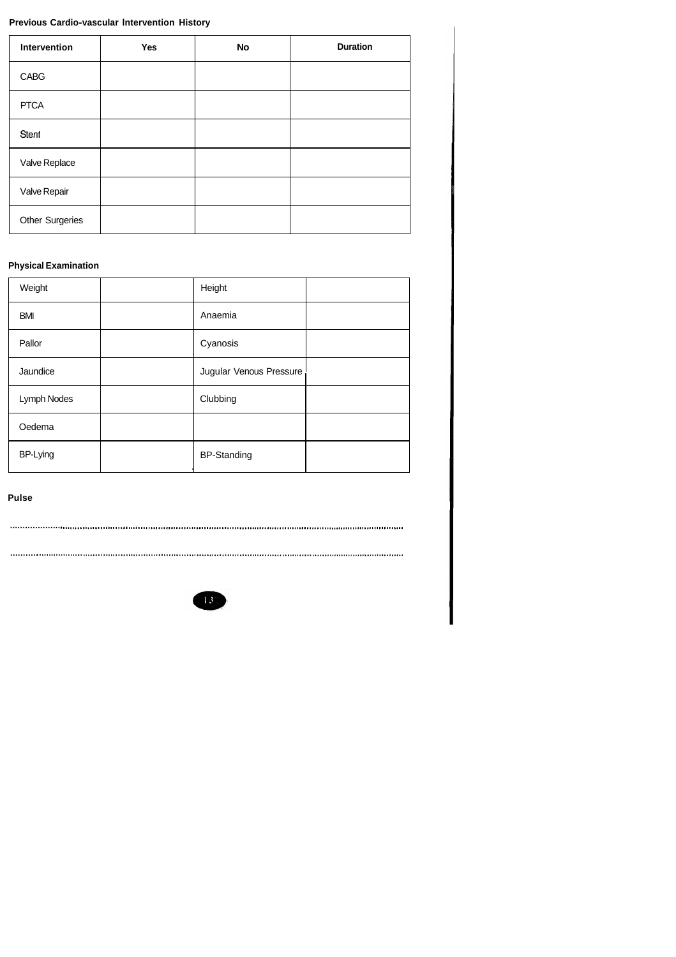## Previous Cardio-vascular Intervention History

| Intervention           | Yes | <b>No</b> | <b>Duration</b> |
|------------------------|-----|-----------|-----------------|
| <b>CABG</b>            |     |           |                 |
| <b>PTCA</b>            |     |           |                 |
| Stent                  |     |           |                 |
| Valve Replace          |     |           |                 |
| Valve Repair           |     |           |                 |
| <b>Other Surgeries</b> |     |           |                 |

## **Physical Examination**

| Weight          | Height                  |  |
|-----------------|-------------------------|--|
| <b>BMI</b>      | Anaemia                 |  |
| Pallor          | Cyanosis                |  |
| Jaundice        | Jugular Venous Pressure |  |
| Lymph Nodes     | Clubbing                |  |
| Oedema          |                         |  |
| <b>BP-Lying</b> | <b>BP-Standing</b>      |  |

**Pulse** 

 $\cdots$ 

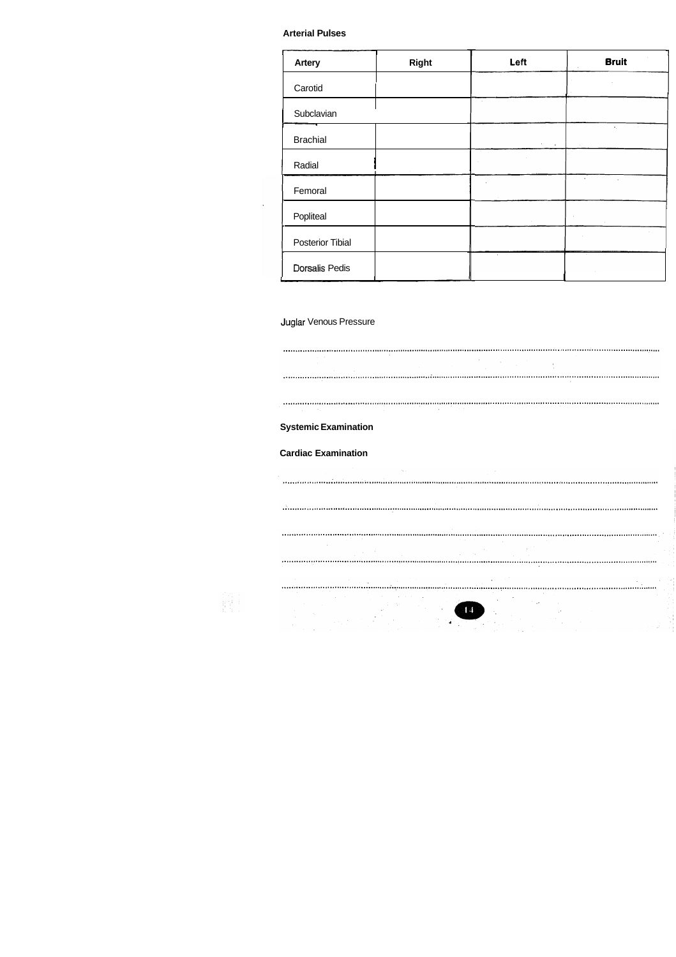#### **Arterial Pulses**

| <b>Arterial Pulses</b>                                    |                 |                          |                                                                                                                                                                                                                                                                                                                                                                                                                                                 |                                                                                                                                                                                                                                                                                                                                                                                                                                                                                                                          |  |  |  |  |
|-----------------------------------------------------------|-----------------|--------------------------|-------------------------------------------------------------------------------------------------------------------------------------------------------------------------------------------------------------------------------------------------------------------------------------------------------------------------------------------------------------------------------------------------------------------------------------------------|--------------------------------------------------------------------------------------------------------------------------------------------------------------------------------------------------------------------------------------------------------------------------------------------------------------------------------------------------------------------------------------------------------------------------------------------------------------------------------------------------------------------------|--|--|--|--|
| <b>Artery</b><br>Carotid                                  |                 | <b>Right</b>             | Left                                                                                                                                                                                                                                                                                                                                                                                                                                            | <b>Bruit</b><br>$\sim 10^{11}$ m $^{-1}$                                                                                                                                                                                                                                                                                                                                                                                                                                                                                 |  |  |  |  |
| Subclavian                                                |                 |                          |                                                                                                                                                                                                                                                                                                                                                                                                                                                 | _____<br><b>Contact Contact</b>                                                                                                                                                                                                                                                                                                                                                                                                                                                                                          |  |  |  |  |
| <b>Brachial</b><br>Radial                                 |                 |                          | <b>Contractor</b><br>------                                                                                                                                                                                                                                                                                                                                                                                                                     |                                                                                                                                                                                                                                                                                                                                                                                                                                                                                                                          |  |  |  |  |
| Femoral<br>Popliteal                                      |                 |                          |                                                                                                                                                                                                                                                                                                                                                                                                                                                 | the state of the control of                                                                                                                                                                                                                                                                                                                                                                                                                                                                                              |  |  |  |  |
| <b>Posterior Tibial</b>                                   |                 |                          |                                                                                                                                                                                                                                                                                                                                                                                                                                                 | <b>Contract</b>                                                                                                                                                                                                                                                                                                                                                                                                                                                                                                          |  |  |  |  |
| <b>Dorsalis Pedis</b>                                     |                 |                          |                                                                                                                                                                                                                                                                                                                                                                                                                                                 |                                                                                                                                                                                                                                                                                                                                                                                                                                                                                                                          |  |  |  |  |
| Juglar Venous Pressure                                    |                 |                          |                                                                                                                                                                                                                                                                                                                                                                                                                                                 |                                                                                                                                                                                                                                                                                                                                                                                                                                                                                                                          |  |  |  |  |
| and the con-                                              | <b>Contract</b> | <b>Contract Contract</b> | $\label{eq:2.1} \frac{1}{\sqrt{2}}\int_{0}^{\infty}\frac{1}{\sqrt{2\pi}}\left(\frac{1}{\sqrt{2\pi}}\right)^{2}e^{-\frac{1}{2}\left(\frac{1}{\sqrt{2\pi}}\right)}\frac{1}{\sqrt{2\pi}}\int_{0}^{\infty}\frac{1}{\sqrt{2\pi}}\frac{1}{\sqrt{2\pi}}\frac{1}{\sqrt{2\pi}}\frac{1}{\sqrt{2\pi}}\frac{1}{\sqrt{2\pi}}\frac{1}{\sqrt{2\pi}}\frac{1}{\sqrt{2\pi}}\frac{1}{\sqrt{2\pi}}\frac{1}{\sqrt{2\pi}}\frac{1}{\$<br>$\sim 100$<br>and the control | waaanoo maanoo maanoo maanoo maanoo maanoo maanoo maanoo maanoo maanoo maanoo maanoo maa<br><b>Contract State</b>                                                                                                                                                                                                                                                                                                                                                                                                        |  |  |  |  |
| <b>Carl Contract</b>                                      |                 | <b>Contractor</b>        |                                                                                                                                                                                                                                                                                                                                                                                                                                                 | $\label{def:main} This can be obtained by the cohomology of the ODEs is a non-1, and we have a non-1, and a non-1, and a non-1, and a non-1, and a non-1, and a non-1, and a non-1, and a non-1, and a non-1, and a non-1, and a non-1, and a non-1, and a non-1, and a non-1, and a non-1, and a non-1, and a non-1, and a non-1, and a non-1, and a non-1, and a non-1, and a non-1, and a non-1, and a non-1, and a non-1, and a non-1, and a non-1, and a non-1, and a non-1, and a non-1, and a non-1, and a non-1$ |  |  |  |  |
| <b>Systemic Examination</b><br><b>Cardiac Examination</b> |                 |                          |                                                                                                                                                                                                                                                                                                                                                                                                                                                 |                                                                                                                                                                                                                                                                                                                                                                                                                                                                                                                          |  |  |  |  |
|                                                           |                 | $\sim 100$ km s $^{-1}$  |                                                                                                                                                                                                                                                                                                                                                                                                                                                 |                                                                                                                                                                                                                                                                                                                                                                                                                                                                                                                          |  |  |  |  |

**Systemic Examination Cardiac Examination**  $\label{prop:main} The non-convex non-convex non-convex functions are connected to the non-convex functions.$  $\label{prop:main} In a non-convex non-convex group, and a non-convex polynomial, and a non-convex map.$  $\sim$  $\mathcal{A}$  , where  $\mathcal{A}$  is  $\mathcal{A}$  $\bullet$  $\mathcal{C}_{\bullet}$ e en dels de la partie de la partie de la partie de la partie de la partie de la partie de la partie de la par<br>Les parties de la partie de la partie de la partie de la partie de la partie de la partie de la partie de la

## Juglar Venous Pressure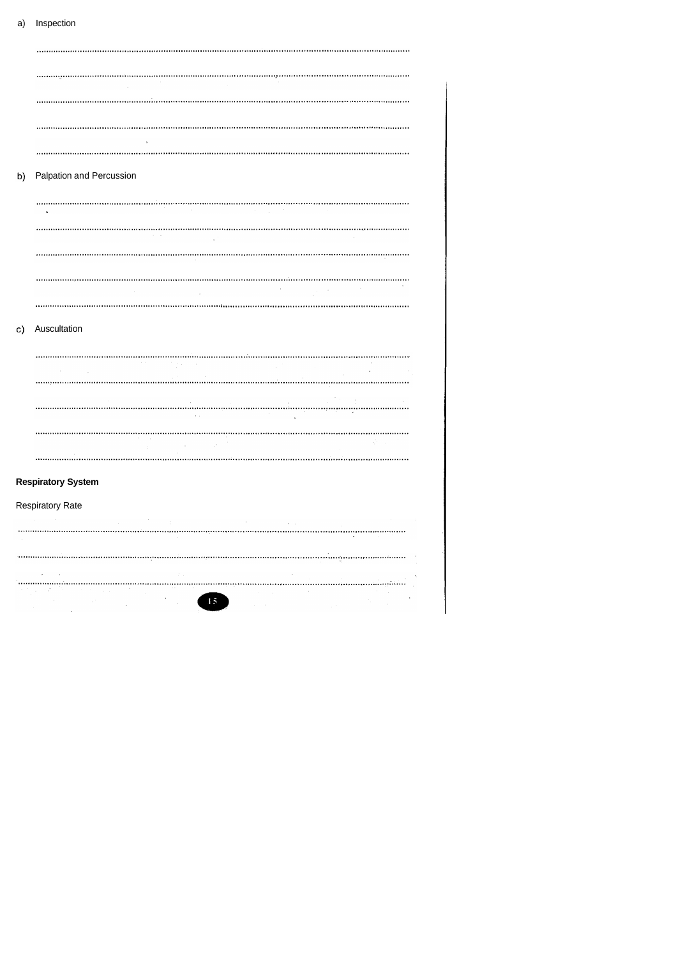## a) Inspection

| b)       | Palpation and Percussion  |                                                                  |                                   |                 |                                                                                                                   |  |  |
|----------|---------------------------|------------------------------------------------------------------|-----------------------------------|-----------------|-------------------------------------------------------------------------------------------------------------------|--|--|
|          |                           |                                                                  |                                   | <b>Contract</b> |                                                                                                                   |  |  |
|          |                           |                                                                  |                                   |                 |                                                                                                                   |  |  |
|          |                           |                                                                  |                                   |                 |                                                                                                                   |  |  |
|          |                           |                                                                  |                                   |                 | $\mathcal{L}^{\mathcal{L}}(\mathcal{L}^{\mathcal{L}})$ and $\mathcal{L}^{\mathcal{L}}(\mathcal{L}^{\mathcal{L}})$ |  |  |
|          |                           |                                                                  |                                   |                 |                                                                                                                   |  |  |
| $\circ)$ | Auscultation              |                                                                  |                                   |                 |                                                                                                                   |  |  |
|          |                           | $\mathcal{O}(2\pi\log n)$ . The second $\mathcal{O}(2\pi\log n)$ |                                   |                 |                                                                                                                   |  |  |
|          |                           |                                                                  |                                   |                 |                                                                                                                   |  |  |
|          |                           |                                                                  | $\alpha$                          |                 | and the contract of the                                                                                           |  |  |
|          |                           |                                                                  | $\sim 10^{11}$ keV                |                 |                                                                                                                   |  |  |
|          |                           |                                                                  |                                   |                 |                                                                                                                   |  |  |
|          | <b>Respiratory System</b> |                                                                  |                                   |                 |                                                                                                                   |  |  |
|          | <b>Respiratory Rate</b>   |                                                                  |                                   |                 |                                                                                                                   |  |  |
|          |                           |                                                                  |                                   |                 |                                                                                                                   |  |  |
|          |                           |                                                                  |                                   |                 |                                                                                                                   |  |  |
|          |                           |                                                                  | $\mathcal{I} \subset \mathcal{I}$ |                 |                                                                                                                   |  |  |

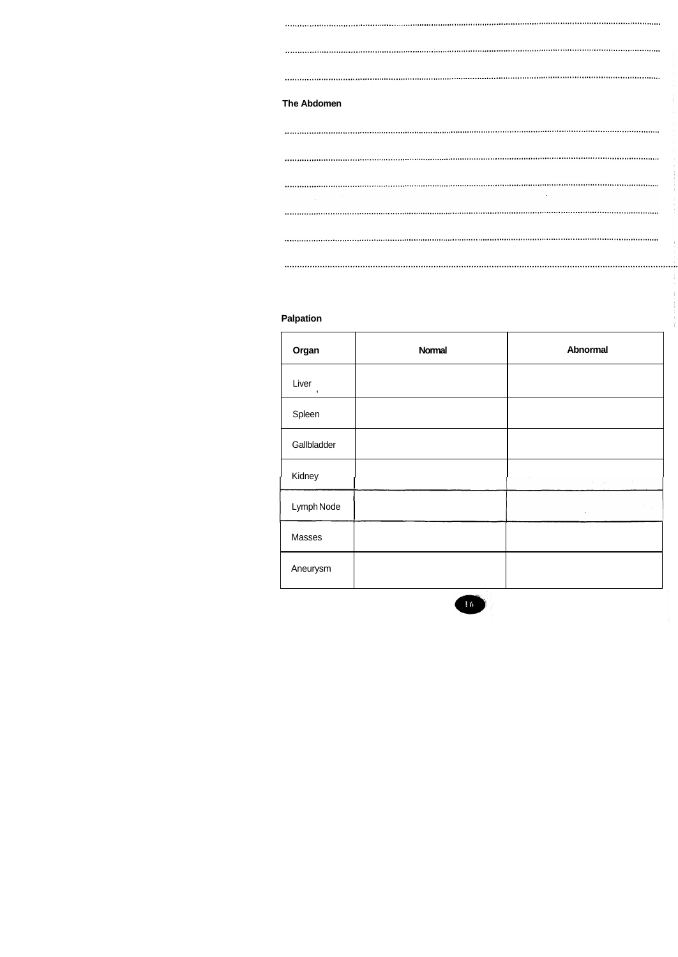# The Abdomen

## Palpation

| Organ                 | <b>Normal</b> | <b>Abnormal</b>                                                                                                                                                                                                  |
|-----------------------|---------------|------------------------------------------------------------------------------------------------------------------------------------------------------------------------------------------------------------------|
| Liver<br>$\mathbf{r}$ |               |                                                                                                                                                                                                                  |
| Spleen                |               |                                                                                                                                                                                                                  |
| Gallbladder           |               |                                                                                                                                                                                                                  |
| Kidney                |               | $\sim$<br>$\label{eq:2} \mathcal{L}(\mathcal{L}^{\text{c}}) = \mathcal{L}(\mathcal{L}^{\text{c}}) \mathcal{L}(\mathcal{L}^{\text{c}}) = \mathcal{L}(\mathcal{L}^{\text{c}}) \mathcal{L}(\mathcal{L}^{\text{c}})$ |
| Lymph Node            |               | $\sim$ $^{\prime}$<br>$\mathcal{L}^{\text{max}}_{\text{max}}$ and $\mathcal{L}^{\text{max}}_{\text{max}}$                                                                                                        |
| Masses                |               |                                                                                                                                                                                                                  |
| Aneurysm              |               |                                                                                                                                                                                                                  |

 $\frac{1}{2}$ 

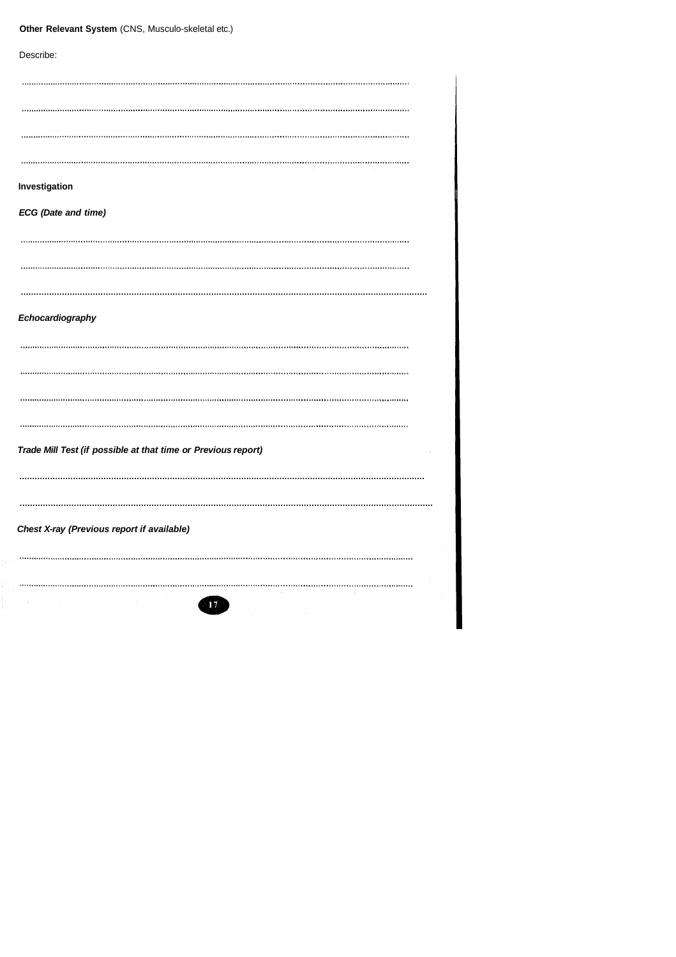|  |  | Other Relevant System (CNS, Musculo-skeletal etc.) |
|--|--|----------------------------------------------------|
|--|--|----------------------------------------------------|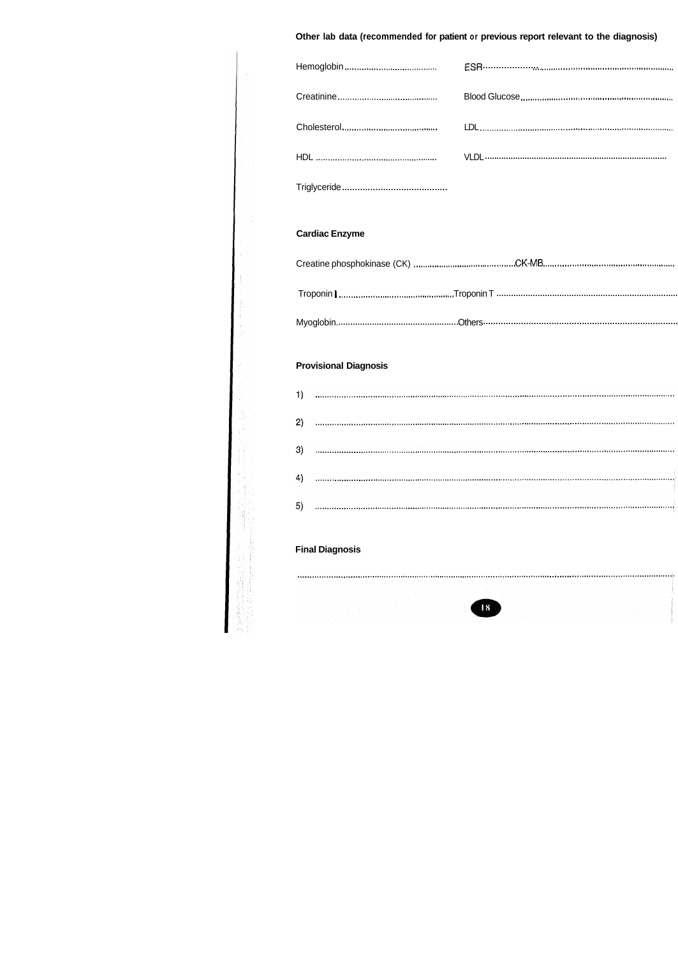## Other lab data (recommended for patient or previous report relevant to the diagnosis)

| <b>Cardiac Enzyme</b>              |  |
|------------------------------------|--|
|                                    |  |
|                                    |  |
|                                    |  |
| <b>Provisional Diagnosis</b><br>1) |  |
| 2)                                 |  |
| 3)                                 |  |
| 4)                                 |  |
|                                    |  |
| 5)                                 |  |
| <b>Final Diagnosis</b>             |  |

 $\frac{1}{\sqrt{2}}$ 

 $\frac{1}{2}$ 

d f